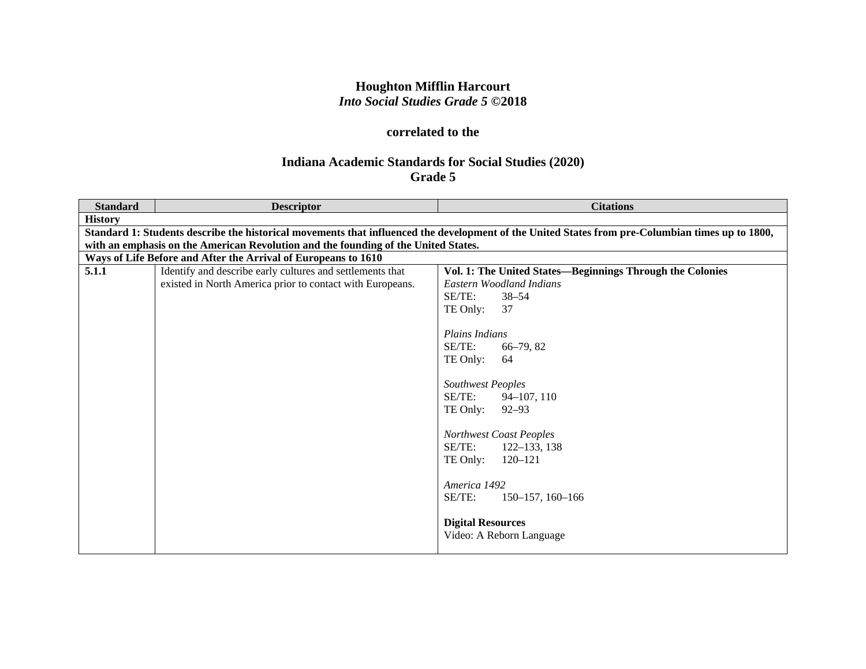# **Houghton Mifflin Harcourt** *Into Social Studies Grade 5* **©2018**

## **correlated to the**

# **Indiana Academic Standards for Social Studies (2020) Grade 5**

| <b>Standard</b> | <b>Descriptor</b>                                                                                                                                | <b>Citations</b>                                          |  |
|-----------------|--------------------------------------------------------------------------------------------------------------------------------------------------|-----------------------------------------------------------|--|
| <b>History</b>  |                                                                                                                                                  |                                                           |  |
|                 | Standard 1: Students describe the historical movements that influenced the development of the United States from pre-Columbian times up to 1800, |                                                           |  |
|                 | with an emphasis on the American Revolution and the founding of the United States.                                                               |                                                           |  |
|                 | Ways of Life Before and After the Arrival of Europeans to 1610                                                                                   |                                                           |  |
| 5.1.1           | Identify and describe early cultures and settlements that                                                                                        | Vol. 1: The United States-Beginnings Through the Colonies |  |
|                 | existed in North America prior to contact with Europeans.                                                                                        | Eastern Woodland Indians                                  |  |
|                 |                                                                                                                                                  | SE/TE:<br>$38 - 54$                                       |  |
|                 |                                                                                                                                                  | TE Only:<br>37                                            |  |
|                 |                                                                                                                                                  |                                                           |  |
|                 |                                                                                                                                                  | <b>Plains Indians</b>                                     |  |
|                 |                                                                                                                                                  | SE/TE:<br>$66 - 79, 82$                                   |  |
|                 |                                                                                                                                                  | TE Only:<br>64                                            |  |
|                 |                                                                                                                                                  |                                                           |  |
|                 |                                                                                                                                                  | <b>Southwest Peoples</b>                                  |  |
|                 |                                                                                                                                                  | $SE/TE$ :<br>$94 - 107, 110$                              |  |
|                 |                                                                                                                                                  | TE Only:<br>$92 - 93$                                     |  |
|                 |                                                                                                                                                  |                                                           |  |
|                 |                                                                                                                                                  | Northwest Coast Peoples                                   |  |
|                 |                                                                                                                                                  | SE/TE:<br>122-133, 138                                    |  |
|                 |                                                                                                                                                  | TE Only:<br>$120 - 121$                                   |  |
|                 |                                                                                                                                                  |                                                           |  |
|                 |                                                                                                                                                  | America 1492                                              |  |
|                 |                                                                                                                                                  | SE/TE:<br>$150-157$ , 160-166                             |  |
|                 |                                                                                                                                                  |                                                           |  |
|                 |                                                                                                                                                  | <b>Digital Resources</b>                                  |  |
|                 |                                                                                                                                                  | Video: A Reborn Language                                  |  |
|                 |                                                                                                                                                  |                                                           |  |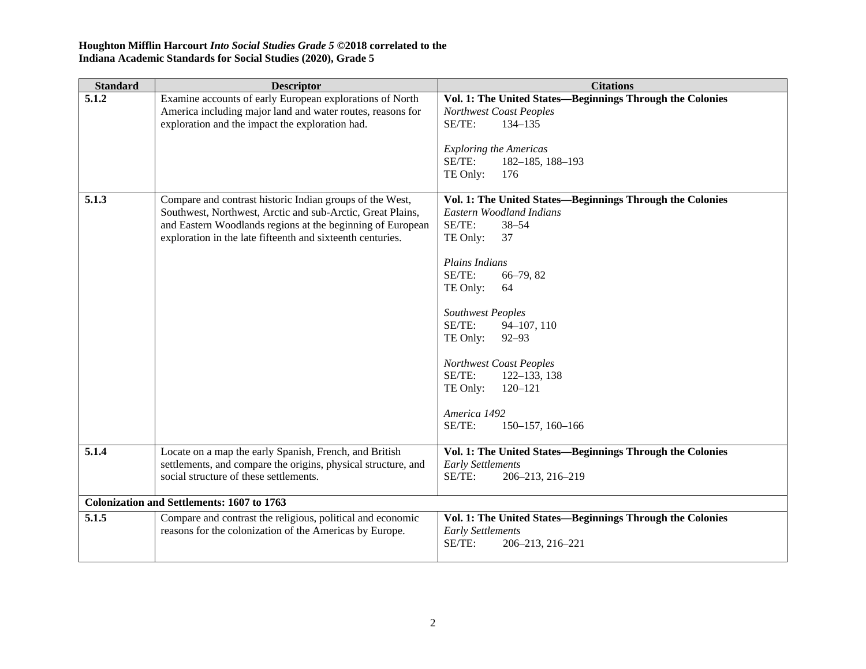| <b>Standard</b> | <b>Descriptor</b>                                                                                                                                                                                                                                  | <b>Citations</b>                                                                                                                                                                                                                                                                                                                                                                                         |
|-----------------|----------------------------------------------------------------------------------------------------------------------------------------------------------------------------------------------------------------------------------------------------|----------------------------------------------------------------------------------------------------------------------------------------------------------------------------------------------------------------------------------------------------------------------------------------------------------------------------------------------------------------------------------------------------------|
| 5.1.2           | Examine accounts of early European explorations of North<br>America including major land and water routes, reasons for<br>exploration and the impact the exploration had.                                                                          | Vol. 1: The United States-Beginnings Through the Colonies<br>Northwest Coast Peoples<br>SE/TE:<br>134-135<br><b>Exploring the Americas</b><br>SE/TE:<br>$182 - 185$ , $188 - 193$<br>TE Only:<br>176                                                                                                                                                                                                     |
| 5.1.3           | Compare and contrast historic Indian groups of the West,<br>Southwest, Northwest, Arctic and sub-Arctic, Great Plains,<br>and Eastern Woodlands regions at the beginning of European<br>exploration in the late fifteenth and sixteenth centuries. | Vol. 1: The United States-Beginnings Through the Colonies<br>Eastern Woodland Indians<br>SE/TE:<br>$38 - 54$<br>TE Only:<br>37<br>Plains Indians<br>SE/TE:<br>66-79, 82<br>TE Only:<br>64<br>Southwest Peoples<br>SE/TE:<br>94-107, 110<br>TE Only:<br>$92 - 93$<br>Northwest Coast Peoples<br>SE/TE:<br>$122 - 133$ , 138<br>TE Only:<br>$120 - 121$<br>America 1492<br>SE/TE:<br>$150-157$ , $160-166$ |
| 5.1.4           | Locate on a map the early Spanish, French, and British<br>settlements, and compare the origins, physical structure, and<br>social structure of these settlements.                                                                                  | Vol. 1: The United States-Beginnings Through the Colonies<br><b>Early Settlements</b><br>SE/TE:<br>206-213, 216-219                                                                                                                                                                                                                                                                                      |
|                 | <b>Colonization and Settlements: 1607 to 1763</b>                                                                                                                                                                                                  |                                                                                                                                                                                                                                                                                                                                                                                                          |
| 5.1.5           | Compare and contrast the religious, political and economic<br>reasons for the colonization of the Americas by Europe.                                                                                                                              | Vol. 1: The United States-Beginnings Through the Colonies<br><b>Early Settlements</b><br>SE/TE:<br>206-213, 216-221                                                                                                                                                                                                                                                                                      |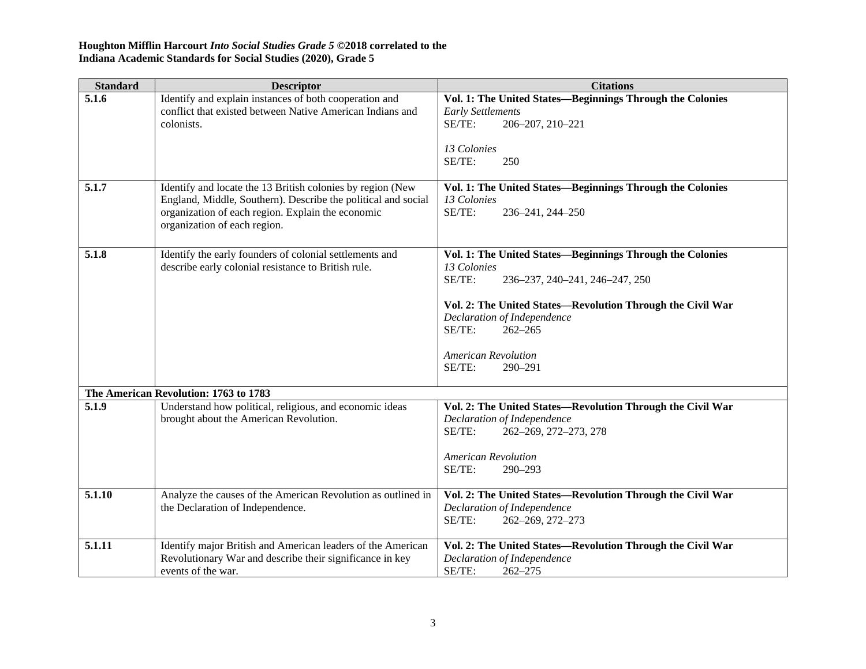| <b>Standard</b> | <b>Descriptor</b>                                                                                                                                                                                                | <b>Citations</b>                                                                                                                                                                                                                                                                              |
|-----------------|------------------------------------------------------------------------------------------------------------------------------------------------------------------------------------------------------------------|-----------------------------------------------------------------------------------------------------------------------------------------------------------------------------------------------------------------------------------------------------------------------------------------------|
| 5.1.6           | Identify and explain instances of both cooperation and<br>conflict that existed between Native American Indians and<br>colonists.                                                                                | Vol. 1: The United States-Beginnings Through the Colonies<br><b>Early Settlements</b><br>SE/TE:<br>206-207, 210-221<br>13 Colonies<br>SE/TE:<br>250                                                                                                                                           |
| 5.1.7           | Identify and locate the 13 British colonies by region (New<br>England, Middle, Southern). Describe the political and social<br>organization of each region. Explain the economic<br>organization of each region. | Vol. 1: The United States-Beginnings Through the Colonies<br>13 Colonies<br>SE/TE:<br>236-241, 244-250                                                                                                                                                                                        |
| 5.1.8           | Identify the early founders of colonial settlements and<br>describe early colonial resistance to British rule.                                                                                                   | Vol. 1: The United States-Beginnings Through the Colonies<br>13 Colonies<br>SE/TE:<br>236-237, 240-241, 246-247, 250<br>Vol. 2: The United States-Revolution Through the Civil War<br>Declaration of Independence<br>SE/TE:<br>$262 - 265$<br><b>American Revolution</b><br>SE/TE:<br>290-291 |
|                 | The American Revolution: 1763 to 1783                                                                                                                                                                            |                                                                                                                                                                                                                                                                                               |
| 5.1.9           | Understand how political, religious, and economic ideas<br>brought about the American Revolution.                                                                                                                | Vol. 2: The United States-Revolution Through the Civil War<br>Declaration of Independence<br>SE/TE:<br>262-269, 272-273, 278<br><b>American Revolution</b><br>SE/TE:<br>290-293                                                                                                               |
| 5.1.10          | Analyze the causes of the American Revolution as outlined in<br>the Declaration of Independence.                                                                                                                 | Vol. 2: The United States-Revolution Through the Civil War<br>Declaration of Independence<br>SE/TE:<br>262-269, 272-273                                                                                                                                                                       |
| 5.1.11          | Identify major British and American leaders of the American<br>Revolutionary War and describe their significance in key<br>events of the war.                                                                    | Vol. 2: The United States-Revolution Through the Civil War<br>Declaration of Independence<br>SE/TE:<br>$262 - 275$                                                                                                                                                                            |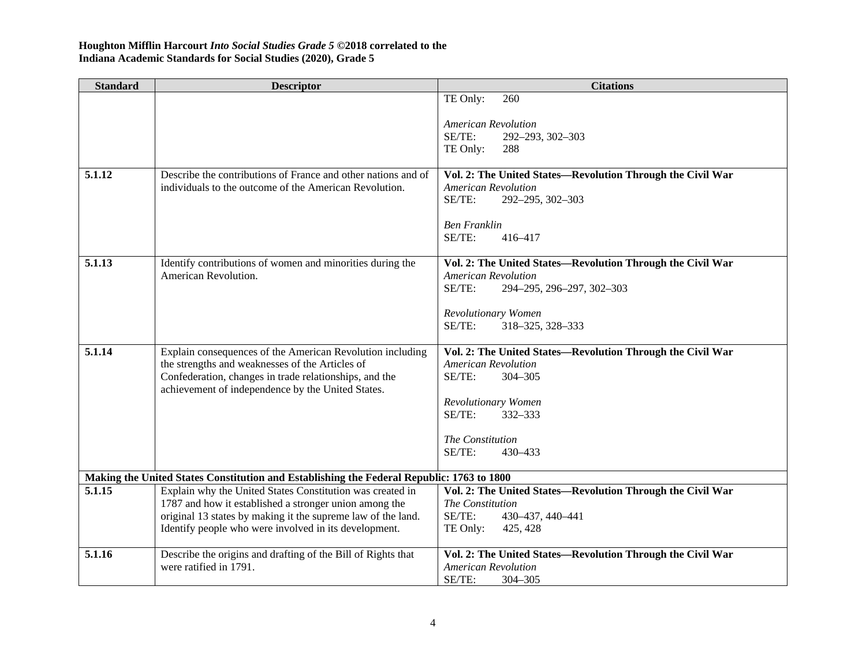| <b>Standard</b> | <b>Descriptor</b>                                                                                                      | <b>Citations</b>                                                               |
|-----------------|------------------------------------------------------------------------------------------------------------------------|--------------------------------------------------------------------------------|
|                 |                                                                                                                        | TE Only:<br>260                                                                |
|                 |                                                                                                                        | <b>American Revolution</b>                                                     |
|                 |                                                                                                                        | SE/TE:<br>292-293, 302-303                                                     |
|                 |                                                                                                                        | TE Only:<br>288                                                                |
|                 |                                                                                                                        |                                                                                |
| 5.1.12          | Describe the contributions of France and other nations and of                                                          | Vol. 2: The United States-Revolution Through the Civil War                     |
|                 | individuals to the outcome of the American Revolution.                                                                 | <b>American Revolution</b>                                                     |
|                 |                                                                                                                        | SE/TE:<br>292-295, 302-303                                                     |
|                 |                                                                                                                        | <b>Ben Franklin</b>                                                            |
|                 |                                                                                                                        | SE/TE:<br>416-417                                                              |
|                 |                                                                                                                        |                                                                                |
| 5.1.13          | Identify contributions of women and minorities during the                                                              | Vol. 2: The United States-Revolution Through the Civil War                     |
|                 | American Revolution.                                                                                                   | <b>American Revolution</b>                                                     |
|                 |                                                                                                                        | SE/TE:<br>294-295, 296-297, 302-303                                            |
|                 |                                                                                                                        | Revolutionary Women                                                            |
|                 |                                                                                                                        | SE/TE:<br>318-325, 328-333                                                     |
|                 |                                                                                                                        |                                                                                |
| 5.1.14          | Explain consequences of the American Revolution including                                                              | Vol. 2: The United States-Revolution Through the Civil War                     |
|                 | the strengths and weaknesses of the Articles of                                                                        | <b>American Revolution</b>                                                     |
|                 | Confederation, changes in trade relationships, and the                                                                 | SE/TE:<br>304-305                                                              |
|                 | achievement of independence by the United States.                                                                      | Revolutionary Women                                                            |
|                 |                                                                                                                        | SE/TE:<br>332-333                                                              |
|                 |                                                                                                                        |                                                                                |
|                 |                                                                                                                        | The Constitution                                                               |
|                 |                                                                                                                        | SE/TE:<br>430-433                                                              |
|                 |                                                                                                                        |                                                                                |
|                 | Making the United States Constitution and Establishing the Federal Republic: 1763 to 1800                              |                                                                                |
| 5.1.15          | Explain why the United States Constitution was created in                                                              | Vol. 2: The United States-Revolution Through the Civil War<br>The Constitution |
|                 | 1787 and how it established a stronger union among the<br>original 13 states by making it the supreme law of the land. | SE/TE:<br>430-437, 440-441                                                     |
|                 | Identify people who were involved in its development.                                                                  | TE Only:<br>425, 428                                                           |
|                 |                                                                                                                        |                                                                                |
| 5.1.16          | Describe the origins and drafting of the Bill of Rights that                                                           | Vol. 2: The United States-Revolution Through the Civil War                     |
|                 | were ratified in 1791.                                                                                                 | <b>American Revolution</b>                                                     |
|                 |                                                                                                                        | SE/TE:<br>$304 - 305$                                                          |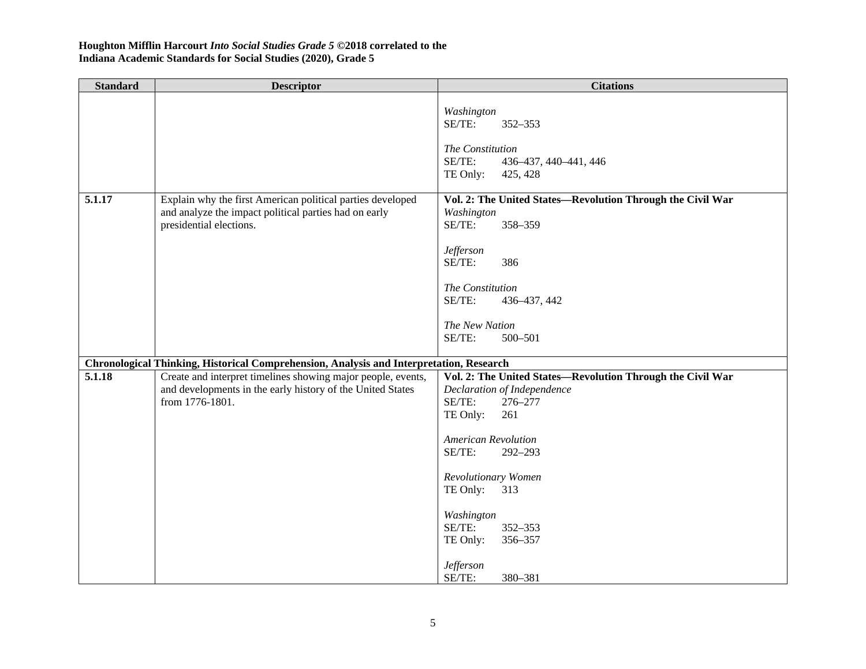| <b>Standard</b> | <b>Descriptor</b>                                                                                                                              | <b>Citations</b>                                                                                                                                                                                                                                                                                                                  |
|-----------------|------------------------------------------------------------------------------------------------------------------------------------------------|-----------------------------------------------------------------------------------------------------------------------------------------------------------------------------------------------------------------------------------------------------------------------------------------------------------------------------------|
|                 |                                                                                                                                                | Washington<br>SE/TE:<br>352-353<br>The Constitution<br>SE/TE:<br>436-437, 440-441, 446<br>TE Only:<br>425, 428                                                                                                                                                                                                                    |
| 5.1.17          | Explain why the first American political parties developed<br>and analyze the impact political parties had on early<br>presidential elections. | Vol. 2: The United States-Revolution Through the Civil War<br>Washington<br>SE/TE:<br>358-359<br><b>Jefferson</b><br>386<br>SE/TE:<br>The Constitution<br>SE/TE:<br>436-437, 442<br>The New Nation<br>SE/TE:<br>500-501                                                                                                           |
|                 | Chronological Thinking, Historical Comprehension, Analysis and Interpretation, Research                                                        |                                                                                                                                                                                                                                                                                                                                   |
| 5.1.18          | Create and interpret timelines showing major people, events,<br>and developments in the early history of the United States<br>from 1776-1801.  | Vol. 2: The United States-Revolution Through the Civil War<br>Declaration of Independence<br>SE/TE:<br>276-277<br>TE Only:<br>261<br><b>American Revolution</b><br>SE/TE:<br>292-293<br>Revolutionary Women<br>TE Only:<br>313<br>Washington<br>SE/TE:<br>352-353<br>356-357<br>TE Only:<br><b>Jefferson</b><br>SE/TE:<br>380-381 |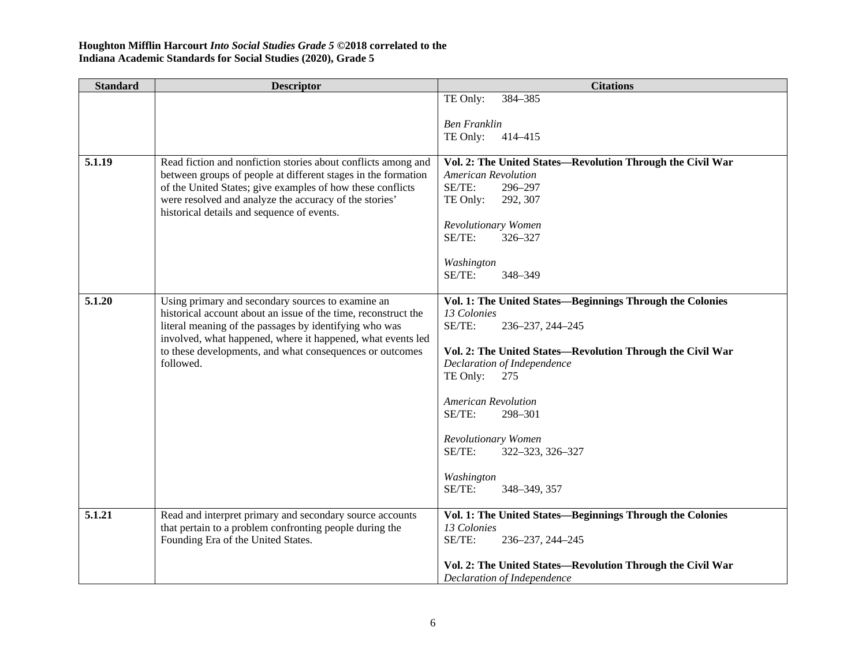| <b>Standard</b> | <b>Descriptor</b>                                                                                                                                                                                                                                                | <b>Citations</b>                                           |
|-----------------|------------------------------------------------------------------------------------------------------------------------------------------------------------------------------------------------------------------------------------------------------------------|------------------------------------------------------------|
|                 |                                                                                                                                                                                                                                                                  | TE Only:<br>384-385                                        |
|                 |                                                                                                                                                                                                                                                                  |                                                            |
|                 |                                                                                                                                                                                                                                                                  | <b>Ben Franklin</b>                                        |
|                 |                                                                                                                                                                                                                                                                  | TE Only:<br>414-415                                        |
| 5.1.19          | Read fiction and nonfiction stories about conflicts among and                                                                                                                                                                                                    | Vol. 2: The United States-Revolution Through the Civil War |
|                 | between groups of people at different stages in the formation                                                                                                                                                                                                    | <b>American Revolution</b>                                 |
|                 | of the United States; give examples of how these conflicts                                                                                                                                                                                                       | SE/TE:<br>296-297                                          |
|                 | were resolved and analyze the accuracy of the stories'                                                                                                                                                                                                           | TE Only:<br>292, 307                                       |
|                 | historical details and sequence of events.                                                                                                                                                                                                                       |                                                            |
|                 |                                                                                                                                                                                                                                                                  | Revolutionary Women                                        |
|                 |                                                                                                                                                                                                                                                                  | SE/TE:<br>326-327                                          |
|                 |                                                                                                                                                                                                                                                                  | Washington                                                 |
|                 |                                                                                                                                                                                                                                                                  | SE/TE:<br>348-349                                          |
|                 |                                                                                                                                                                                                                                                                  |                                                            |
| 5.1.20          | Using primary and secondary sources to examine an                                                                                                                                                                                                                | Vol. 1: The United States-Beginnings Through the Colonies  |
|                 | historical account about an issue of the time, reconstruct the<br>literal meaning of the passages by identifying who was<br>involved, what happened, where it happened, what events led<br>to these developments, and what consequences or outcomes<br>followed. | 13 Colonies                                                |
|                 |                                                                                                                                                                                                                                                                  | SE/TE:<br>236-237, 244-245                                 |
|                 |                                                                                                                                                                                                                                                                  | Vol. 2: The United States-Revolution Through the Civil War |
|                 |                                                                                                                                                                                                                                                                  | Declaration of Independence                                |
|                 |                                                                                                                                                                                                                                                                  | TE Only:<br>275                                            |
|                 |                                                                                                                                                                                                                                                                  |                                                            |
|                 |                                                                                                                                                                                                                                                                  | <b>American Revolution</b>                                 |
|                 |                                                                                                                                                                                                                                                                  | SE/TE:<br>298-301                                          |
|                 |                                                                                                                                                                                                                                                                  | Revolutionary Women                                        |
|                 |                                                                                                                                                                                                                                                                  | SE/TE:<br>322-323, 326-327                                 |
|                 |                                                                                                                                                                                                                                                                  |                                                            |
|                 |                                                                                                                                                                                                                                                                  | Washington                                                 |
|                 |                                                                                                                                                                                                                                                                  | SE/TE:<br>348-349, 357                                     |
| 5.1.21          | Read and interpret primary and secondary source accounts                                                                                                                                                                                                         | Vol. 1: The United States-Beginnings Through the Colonies  |
|                 | that pertain to a problem confronting people during the                                                                                                                                                                                                          | 13 Colonies                                                |
|                 | Founding Era of the United States.                                                                                                                                                                                                                               | SE/TE:<br>236-237, 244-245                                 |
|                 |                                                                                                                                                                                                                                                                  |                                                            |
|                 |                                                                                                                                                                                                                                                                  | Vol. 2: The United States—Revolution Through the Civil War |
|                 |                                                                                                                                                                                                                                                                  | Declaration of Independence                                |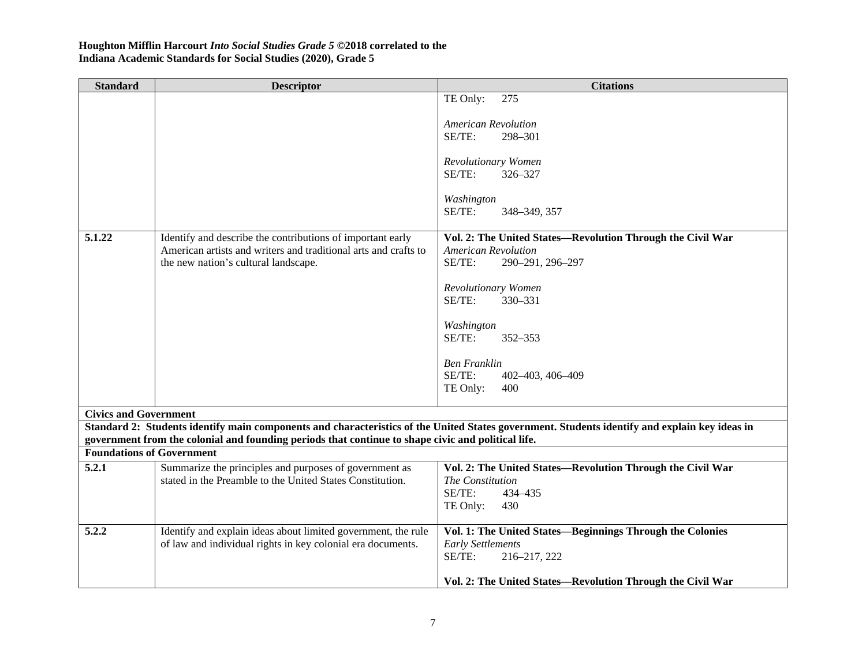| <b>Standard</b>                  | <b>Descriptor</b>                                                                                       | <b>Citations</b>                                                                                                                              |
|----------------------------------|---------------------------------------------------------------------------------------------------------|-----------------------------------------------------------------------------------------------------------------------------------------------|
|                                  |                                                                                                         | TE Only:<br>275                                                                                                                               |
|                                  |                                                                                                         |                                                                                                                                               |
|                                  |                                                                                                         | <b>American Revolution</b>                                                                                                                    |
|                                  |                                                                                                         | SE/TE:<br>298-301                                                                                                                             |
|                                  |                                                                                                         | Revolutionary Women                                                                                                                           |
|                                  |                                                                                                         | SE/TE:<br>326-327                                                                                                                             |
|                                  |                                                                                                         |                                                                                                                                               |
|                                  |                                                                                                         | Washington                                                                                                                                    |
|                                  |                                                                                                         | SE/TE:<br>348-349, 357                                                                                                                        |
|                                  |                                                                                                         |                                                                                                                                               |
| 5.1.22                           | Identify and describe the contributions of important early                                              | Vol. 2: The United States-Revolution Through the Civil War                                                                                    |
|                                  | American artists and writers and traditional arts and crafts to<br>the new nation's cultural landscape. | <b>American Revolution</b><br>SE/TE:<br>290-291, 296-297                                                                                      |
|                                  |                                                                                                         |                                                                                                                                               |
|                                  |                                                                                                         | Revolutionary Women                                                                                                                           |
|                                  |                                                                                                         | SE/TE:<br>330-331                                                                                                                             |
|                                  |                                                                                                         |                                                                                                                                               |
|                                  |                                                                                                         | Washington                                                                                                                                    |
|                                  |                                                                                                         | SE/TE:<br>$352 - 353$                                                                                                                         |
|                                  |                                                                                                         |                                                                                                                                               |
|                                  |                                                                                                         | <b>Ben Franklin</b><br>SE/TE:<br>402-403, 406-409                                                                                             |
|                                  |                                                                                                         | TE Only:<br>400                                                                                                                               |
|                                  |                                                                                                         |                                                                                                                                               |
| <b>Civics and Government</b>     |                                                                                                         |                                                                                                                                               |
|                                  |                                                                                                         | Standard 2: Students identify main components and characteristics of the United States government. Students identify and explain key ideas in |
|                                  | government from the colonial and founding periods that continue to shape civic and political life.      |                                                                                                                                               |
| <b>Foundations of Government</b> |                                                                                                         |                                                                                                                                               |
| 5.2.1                            | Summarize the principles and purposes of government as                                                  | Vol. 2: The United States-Revolution Through the Civil War                                                                                    |
|                                  | stated in the Preamble to the United States Constitution.                                               | The Constitution                                                                                                                              |
|                                  |                                                                                                         | SE/TE:<br>434-435                                                                                                                             |
|                                  |                                                                                                         | TE Only:<br>430                                                                                                                               |
| 5.2.2                            | Identify and explain ideas about limited government, the rule                                           | Vol. 1: The United States-Beginnings Through the Colonies                                                                                     |
|                                  | of law and individual rights in key colonial era documents.                                             | <b>Early Settlements</b>                                                                                                                      |
|                                  |                                                                                                         | SE/TE:<br>216-217, 222                                                                                                                        |
|                                  |                                                                                                         |                                                                                                                                               |
|                                  |                                                                                                         | Vol. 2: The United States-Revolution Through the Civil War                                                                                    |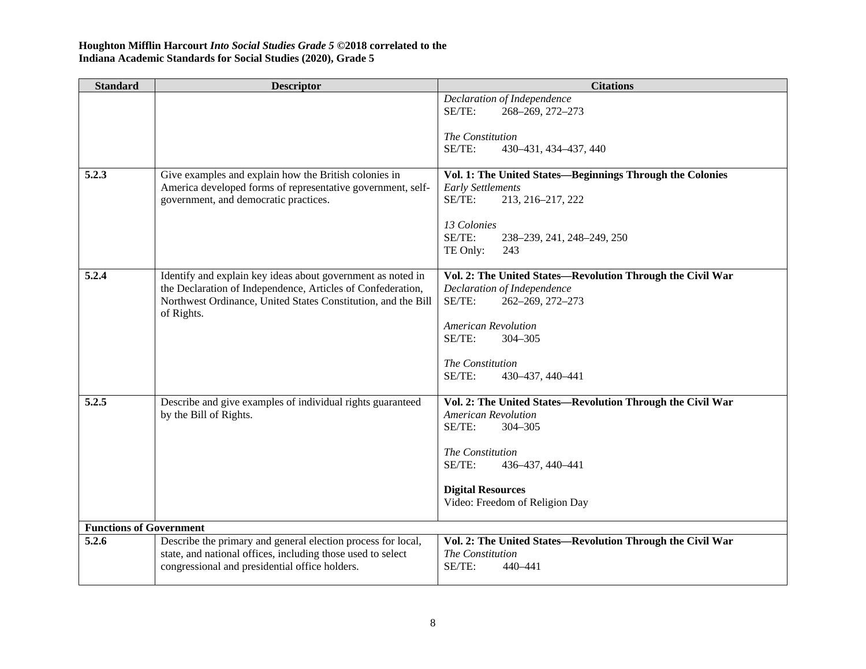| <b>Standard</b>                | <b>Descriptor</b>                                                                                                    | <b>Citations</b>                                                                      |
|--------------------------------|----------------------------------------------------------------------------------------------------------------------|---------------------------------------------------------------------------------------|
|                                |                                                                                                                      | Declaration of Independence                                                           |
|                                |                                                                                                                      | SE/TE:<br>268-269, 272-273                                                            |
|                                |                                                                                                                      | The Constitution                                                                      |
|                                |                                                                                                                      | SE/TE:<br>430-431, 434-437, 440                                                       |
|                                |                                                                                                                      |                                                                                       |
| 5.2.3                          | Give examples and explain how the British colonies in<br>America developed forms of representative government, self- | Vol. 1: The United States-Beginnings Through the Colonies<br><b>Early Settlements</b> |
|                                | government, and democratic practices.                                                                                | SE/TE:<br>213, 216-217, 222                                                           |
|                                |                                                                                                                      | 13 Colonies                                                                           |
|                                |                                                                                                                      | SE/TE:<br>238–239, 241, 248–249, 250                                                  |
|                                |                                                                                                                      | TE Only:<br>243                                                                       |
| 5.2.4                          | Identify and explain key ideas about government as noted in                                                          | Vol. 2: The United States-Revolution Through the Civil War                            |
|                                | the Declaration of Independence, Articles of Confederation,                                                          | Declaration of Independence                                                           |
|                                | Northwest Ordinance, United States Constitution, and the Bill<br>of Rights.                                          | SE/TE:<br>262-269, 272-273                                                            |
|                                |                                                                                                                      | <b>American Revolution</b>                                                            |
|                                |                                                                                                                      | $SE/TE$ :<br>304-305                                                                  |
|                                |                                                                                                                      | The Constitution                                                                      |
|                                |                                                                                                                      | SE/TE:<br>430-437, 440-441                                                            |
| 5.2.5                          | Describe and give examples of individual rights guaranteed                                                           | Vol. 2: The United States-Revolution Through the Civil War                            |
|                                | by the Bill of Rights.                                                                                               | <b>American Revolution</b>                                                            |
|                                |                                                                                                                      | SE/TE:<br>304-305                                                                     |
|                                |                                                                                                                      | The Constitution                                                                      |
|                                |                                                                                                                      | SE/TE:<br>436-437, 440-441                                                            |
|                                |                                                                                                                      | <b>Digital Resources</b>                                                              |
|                                |                                                                                                                      | Video: Freedom of Religion Day                                                        |
| <b>Functions of Government</b> |                                                                                                                      |                                                                                       |
| 5.2.6                          | Describe the primary and general election process for local,                                                         | Vol. 2: The United States-Revolution Through the Civil War                            |
|                                | state, and national offices, including those used to select                                                          | The Constitution                                                                      |
|                                | congressional and presidential office holders.                                                                       | SE/TE:<br>440-441                                                                     |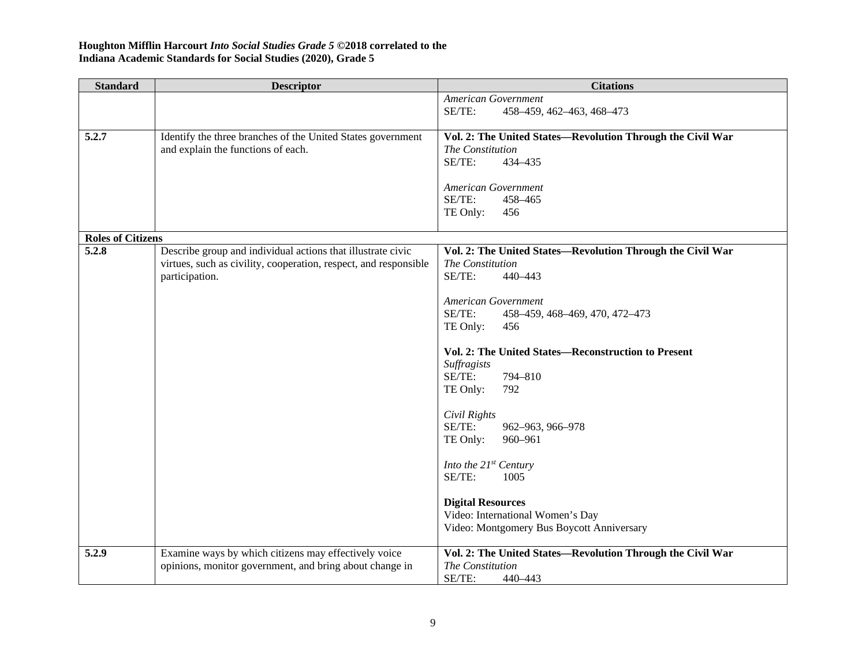| <b>Standard</b>          | <b>Descriptor</b>                                                                  | <b>Citations</b>                                                   |
|--------------------------|------------------------------------------------------------------------------------|--------------------------------------------------------------------|
|                          |                                                                                    | American Government                                                |
|                          |                                                                                    | SE/TE:<br>458-459, 462-463, 468-473                                |
| 5.2.7                    | Identify the three branches of the United States government                        | Vol. 2: The United States-Revolution Through the Civil War         |
|                          | and explain the functions of each.                                                 | The Constitution                                                   |
|                          |                                                                                    | SE/TE:<br>434-435                                                  |
|                          |                                                                                    | <b>American Government</b>                                         |
|                          |                                                                                    | SE/TE:<br>458-465                                                  |
|                          |                                                                                    | TE Only:<br>456                                                    |
|                          |                                                                                    |                                                                    |
| <b>Roles of Citizens</b> |                                                                                    |                                                                    |
| 5.2.8                    | Describe group and individual actions that illustrate civic                        | Vol. 2: The United States-Revolution Through the Civil War         |
|                          | virtues, such as civility, cooperation, respect, and responsible<br>participation. | The Constitution<br>SE/TE:<br>440-443                              |
|                          |                                                                                    |                                                                    |
|                          |                                                                                    | American Government                                                |
|                          |                                                                                    | SE/TE:<br>458-459, 468-469, 470, 472-473                           |
|                          |                                                                                    | TE Only:<br>456                                                    |
|                          |                                                                                    |                                                                    |
|                          |                                                                                    | Vol. 2: The United States-Reconstruction to Present<br>Suffragists |
|                          |                                                                                    | SE/TE:<br>794-810                                                  |
|                          |                                                                                    | TE Only:<br>792                                                    |
|                          |                                                                                    |                                                                    |
|                          |                                                                                    | Civil Rights                                                       |
|                          |                                                                                    | SE/TE:<br>962-963, 966-978                                         |
|                          |                                                                                    | TE Only:<br>960-961                                                |
|                          |                                                                                    | Into the $21^{st}$ Century                                         |
|                          |                                                                                    | SE/TE:<br>1005                                                     |
|                          |                                                                                    |                                                                    |
|                          |                                                                                    | <b>Digital Resources</b>                                           |
|                          |                                                                                    | Video: International Women's Day                                   |
|                          |                                                                                    | Video: Montgomery Bus Boycott Anniversary                          |
| 5.2.9                    | Examine ways by which citizens may effectively voice                               | Vol. 2: The United States-Revolution Through the Civil War         |
|                          | opinions, monitor government, and bring about change in                            | The Constitution                                                   |
|                          |                                                                                    | SE/TE:<br>440-443                                                  |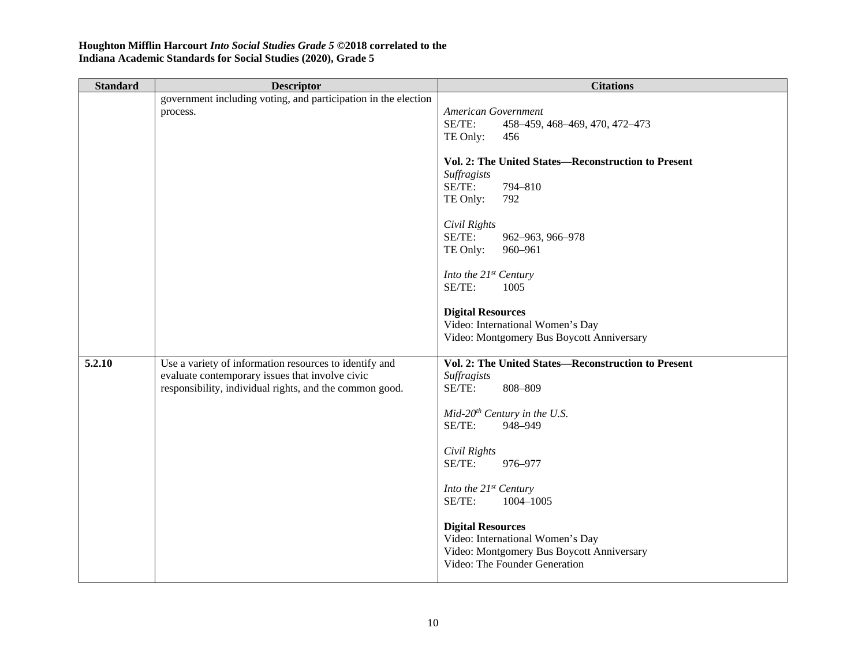| <b>Standard</b> | <b>Descriptor</b>                                                                                                                                                    | <b>Citations</b>                                                                                                                           |
|-----------------|----------------------------------------------------------------------------------------------------------------------------------------------------------------------|--------------------------------------------------------------------------------------------------------------------------------------------|
|                 | government including voting, and participation in the election<br>process.                                                                                           | American Government<br>SE/TE:<br>458-459, 468-469, 470, 472-473<br>TE Only:<br>456                                                         |
|                 |                                                                                                                                                                      | Vol. 2: The United States-Reconstruction to Present<br>Suffragists<br>SE/TE:<br>794-810<br>TE Only:<br>792                                 |
|                 |                                                                                                                                                                      | Civil Rights<br>SE/TE:<br>962-963, 966-978<br>TE Only:<br>960-961                                                                          |
|                 |                                                                                                                                                                      | Into the $21^{st}$ Century<br>SE/TE:<br>1005                                                                                               |
|                 |                                                                                                                                                                      | <b>Digital Resources</b><br>Video: International Women's Day<br>Video: Montgomery Bus Boycott Anniversary                                  |
| 5.2.10          | Use a variety of information resources to identify and<br>evaluate contemporary issues that involve civic<br>responsibility, individual rights, and the common good. | Vol. 2: The United States-Reconstruction to Present<br>Suffragists<br>SE/TE:<br>808-809                                                    |
|                 |                                                                                                                                                                      | $Mid-20th Century in the U.S.$<br>SE/TE:<br>948-949                                                                                        |
|                 |                                                                                                                                                                      | Civil Rights<br>SE/TE:<br>976-977                                                                                                          |
|                 |                                                                                                                                                                      | Into the 21st Century<br>SE/TE:<br>1004-1005                                                                                               |
|                 |                                                                                                                                                                      | <b>Digital Resources</b><br>Video: International Women's Day<br>Video: Montgomery Bus Boycott Anniversary<br>Video: The Founder Generation |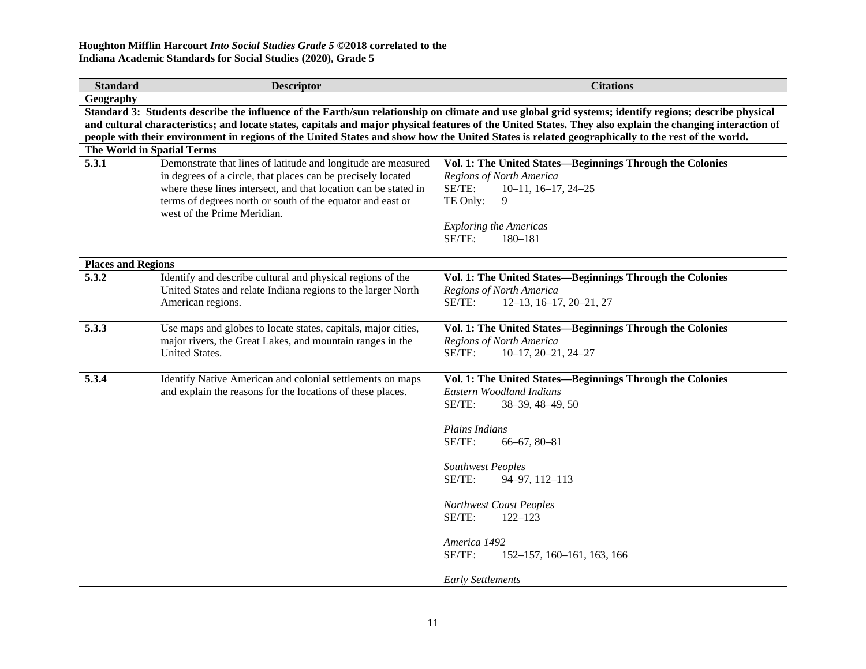| <b>Standard</b>            | <b>Descriptor</b>                                                                                                                                                                                                                                                                             | <b>Citations</b>                                                                                                                                                                                                                                                                                                                                                      |
|----------------------------|-----------------------------------------------------------------------------------------------------------------------------------------------------------------------------------------------------------------------------------------------------------------------------------------------|-----------------------------------------------------------------------------------------------------------------------------------------------------------------------------------------------------------------------------------------------------------------------------------------------------------------------------------------------------------------------|
| Geography                  |                                                                                                                                                                                                                                                                                               |                                                                                                                                                                                                                                                                                                                                                                       |
|                            |                                                                                                                                                                                                                                                                                               | Standard 3: Students describe the influence of the Earth/sun relationship on climate and use global grid systems; identify regions; describe physical                                                                                                                                                                                                                 |
|                            |                                                                                                                                                                                                                                                                                               | and cultural characteristics; and locate states, capitals and major physical features of the United States. They also explain the changing interaction of                                                                                                                                                                                                             |
|                            |                                                                                                                                                                                                                                                                                               | people with their environment in regions of the United States and show how the United States is related geographically to the rest of the world.                                                                                                                                                                                                                      |
| The World in Spatial Terms |                                                                                                                                                                                                                                                                                               |                                                                                                                                                                                                                                                                                                                                                                       |
| 5.3.1                      | Demonstrate that lines of latitude and longitude are measured<br>in degrees of a circle, that places can be precisely located<br>where these lines intersect, and that location can be stated in<br>terms of degrees north or south of the equator and east or<br>west of the Prime Meridian. | Vol. 1: The United States—Beginnings Through the Colonies<br>Regions of North America<br>SE/TE:<br>$10-11$ , $16-17$ , $24-25$<br>TE Only:<br>9<br><b>Exploring the Americas</b><br>SE/TE:<br>180-181                                                                                                                                                                 |
| <b>Places and Regions</b>  |                                                                                                                                                                                                                                                                                               |                                                                                                                                                                                                                                                                                                                                                                       |
| 5.3.2                      | Identify and describe cultural and physical regions of the<br>United States and relate Indiana regions to the larger North<br>American regions.                                                                                                                                               | Vol. 1: The United States-Beginnings Through the Colonies<br>Regions of North America<br>SE/TE:<br>$12-13$ , $16-17$ , $20-21$ , $27$                                                                                                                                                                                                                                 |
| 5.3.3                      | Use maps and globes to locate states, capitals, major cities,<br>major rivers, the Great Lakes, and mountain ranges in the<br><b>United States.</b>                                                                                                                                           | Vol. 1: The United States-Beginnings Through the Colonies<br>Regions of North America<br>SE/TE:<br>$10-17, 20-21, 24-27$                                                                                                                                                                                                                                              |
| 5.3.4                      | Identify Native American and colonial settlements on maps<br>and explain the reasons for the locations of these places.                                                                                                                                                                       | Vol. 1: The United States-Beginnings Through the Colonies<br>Eastern Woodland Indians<br>SE/TE:<br>38-39, 48-49, 50<br>Plains Indians<br>SE/TE:<br>$66 - 67, 80 - 81$<br><b>Southwest Peoples</b><br>SE/TE:<br>94-97, 112-113<br>Northwest Coast Peoples<br>SE/TE:<br>$122 - 123$<br>America 1492<br>SE/TE:<br>152-157, 160-161, 163, 166<br><b>Early Settlements</b> |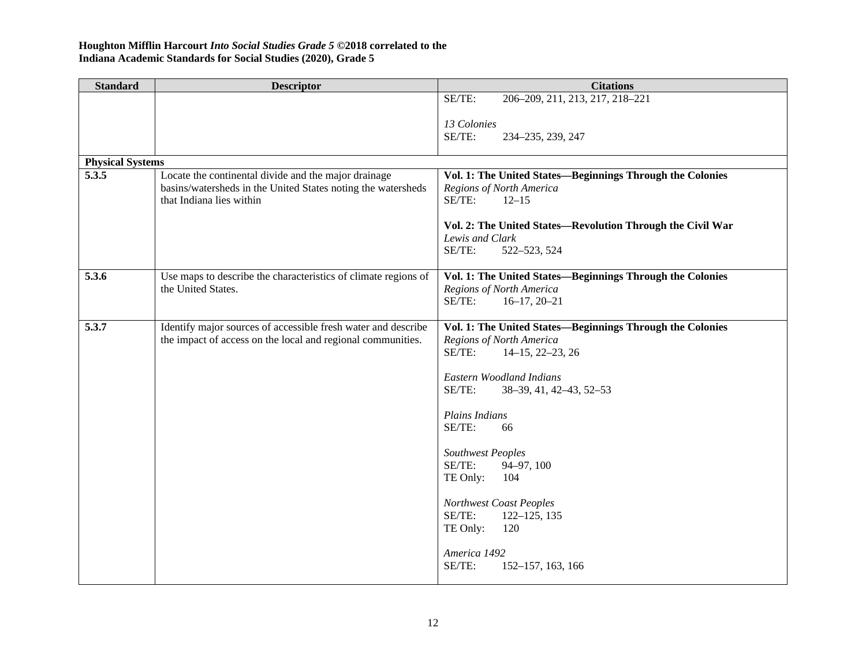| <b>Standard</b>         | <b>Descriptor</b>                                                                        | <b>Citations</b>                                           |
|-------------------------|------------------------------------------------------------------------------------------|------------------------------------------------------------|
|                         |                                                                                          | SE/TE:<br>206-209, 211, 213, 217, 218-221                  |
|                         |                                                                                          | 13 Colonies                                                |
|                         |                                                                                          | SE/TE:<br>234-235, 239, 247                                |
|                         |                                                                                          |                                                            |
| <b>Physical Systems</b> |                                                                                          |                                                            |
| 5.3.5                   | Locate the continental divide and the major drainage                                     | Vol. 1: The United States-Beginnings Through the Colonies  |
|                         | basins/watersheds in the United States noting the watersheds<br>that Indiana lies within | Regions of North America<br>SE/TE:<br>$12 - 15$            |
|                         |                                                                                          | Vol. 2: The United States—Revolution Through the Civil War |
|                         |                                                                                          | Lewis and Clark                                            |
|                         |                                                                                          | SE/TE:<br>522-523, 524                                     |
| 5.3.6                   | Use maps to describe the characteristics of climate regions of                           | Vol. 1: The United States-Beginnings Through the Colonies  |
|                         | the United States.                                                                       | Regions of North America                                   |
|                         |                                                                                          | SE/TE:<br>$16-17, 20-21$                                   |
| 5.3.7                   | Identify major sources of accessible fresh water and describe                            | Vol. 1: The United States-Beginnings Through the Colonies  |
|                         | the impact of access on the local and regional communities.                              | Regions of North America<br>SE/TE:<br>$14-15, 22-23, 26$   |
|                         |                                                                                          |                                                            |
|                         |                                                                                          | <b>Eastern Woodland Indians</b>                            |
|                         |                                                                                          | SE/TE:<br>38-39, 41, 42-43, 52-53                          |
|                         |                                                                                          | Plains Indians                                             |
|                         |                                                                                          | SE/TE:<br>66                                               |
|                         |                                                                                          | Southwest Peoples                                          |
|                         |                                                                                          | SE/TE:<br>94-97, 100                                       |
|                         |                                                                                          | TE Only:<br>104                                            |
|                         |                                                                                          | Northwest Coast Peoples                                    |
|                         |                                                                                          | SE/TE:<br>$122 - 125$ , 135                                |
|                         |                                                                                          | TE Only:<br>120                                            |
|                         |                                                                                          | America 1492                                               |
|                         |                                                                                          | SE/TE:<br>152-157, 163, 166                                |
|                         |                                                                                          |                                                            |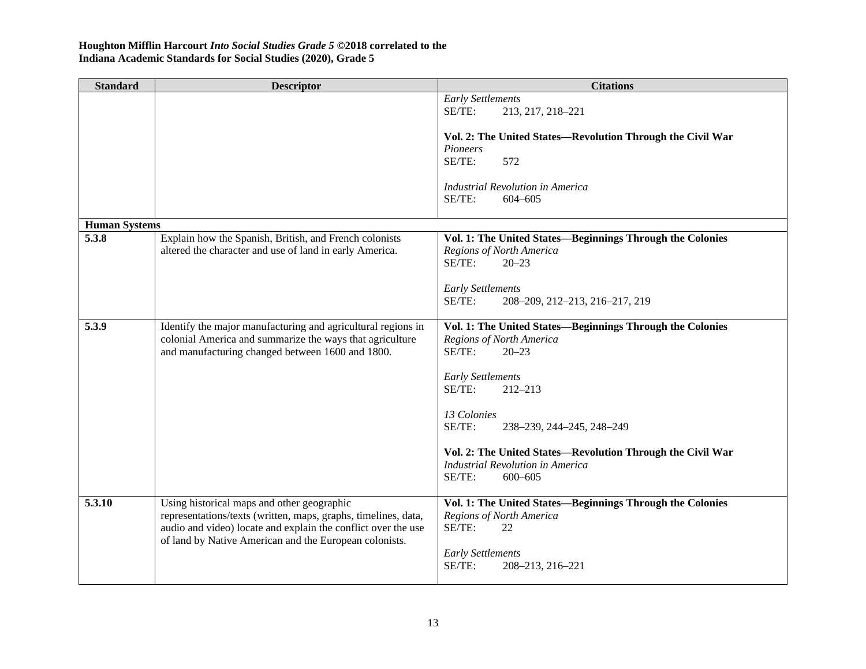| <b>Standard</b>      | <b>Descriptor</b>                                                                                                                                                                                                                       | <b>Citations</b>                                                                                                           |
|----------------------|-----------------------------------------------------------------------------------------------------------------------------------------------------------------------------------------------------------------------------------------|----------------------------------------------------------------------------------------------------------------------------|
|                      |                                                                                                                                                                                                                                         | <b>Early Settlements</b><br>SE/TE:<br>213, 217, 218-221                                                                    |
|                      |                                                                                                                                                                                                                                         | Vol. 2: The United States-Revolution Through the Civil War                                                                 |
|                      |                                                                                                                                                                                                                                         | Pioneers                                                                                                                   |
|                      |                                                                                                                                                                                                                                         | SE/TE:<br>572                                                                                                              |
|                      |                                                                                                                                                                                                                                         | <b>Industrial Revolution in America</b><br>SE/TE:<br>$604 - 605$                                                           |
|                      |                                                                                                                                                                                                                                         |                                                                                                                            |
| <b>Human Systems</b> |                                                                                                                                                                                                                                         |                                                                                                                            |
| 5.3.8                | Explain how the Spanish, British, and French colonists<br>altered the character and use of land in early America.                                                                                                                       | Vol. 1: The United States-Beginnings Through the Colonies<br>Regions of North America<br>SE/TE:<br>$20 - 23$               |
|                      |                                                                                                                                                                                                                                         |                                                                                                                            |
|                      |                                                                                                                                                                                                                                         | <b>Early Settlements</b>                                                                                                   |
|                      |                                                                                                                                                                                                                                         | SE/TE:<br>208-209, 212-213, 216-217, 219                                                                                   |
| 5.3.9                | Identify the major manufacturing and agricultural regions in<br>colonial America and summarize the ways that agriculture<br>and manufacturing changed between 1600 and 1800.                                                            | Vol. 1: The United States-Beginnings Through the Colonies<br>Regions of North America<br>SE/TE:<br>$20 - 23$               |
|                      |                                                                                                                                                                                                                                         | <b>Early Settlements</b><br>SE/TE:<br>$212 - 213$                                                                          |
|                      |                                                                                                                                                                                                                                         | 13 Colonies<br>SE/TE:<br>238-239, 244-245, 248-249                                                                         |
|                      |                                                                                                                                                                                                                                         | Vol. 2: The United States-Revolution Through the Civil War<br><b>Industrial Revolution in America</b><br>SE/TE:<br>600-605 |
| 5.3.10               | Using historical maps and other geographic<br>representations/texts (written, maps, graphs, timelines, data,<br>audio and video) locate and explain the conflict over the use<br>of land by Native American and the European colonists. | Vol. 1: The United States-Beginnings Through the Colonies<br>Regions of North America<br>SE/TE:<br>22                      |
|                      |                                                                                                                                                                                                                                         | <b>Early Settlements</b><br>SE/TE:<br>208-213, 216-221                                                                     |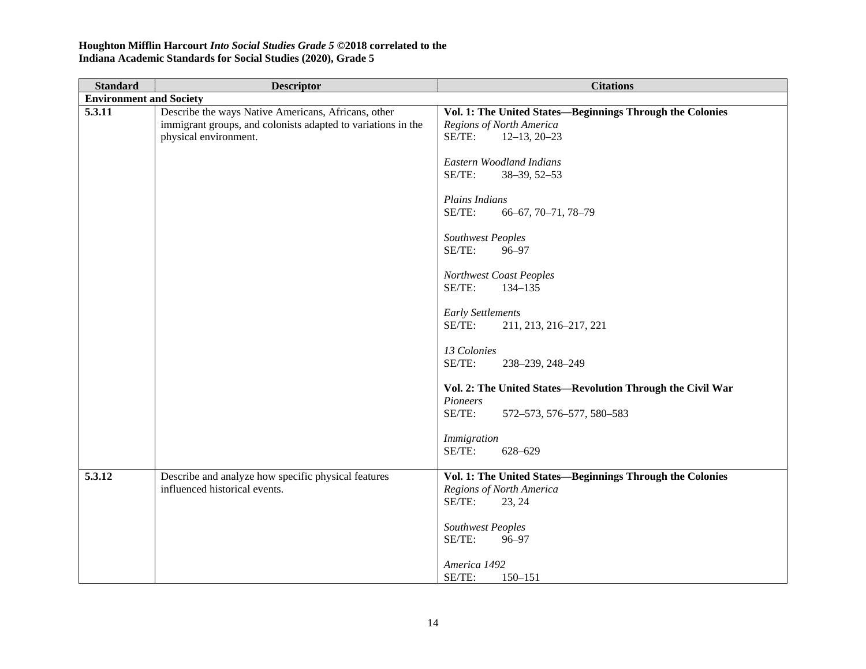| <b>Standard</b>                | <b>Descriptor</b>                                                                                                                            | <b>Citations</b>                                                                                                                                                                                                                                                                                                                                                                                                                                                                                                                                                       |
|--------------------------------|----------------------------------------------------------------------------------------------------------------------------------------------|------------------------------------------------------------------------------------------------------------------------------------------------------------------------------------------------------------------------------------------------------------------------------------------------------------------------------------------------------------------------------------------------------------------------------------------------------------------------------------------------------------------------------------------------------------------------|
| <b>Environment and Society</b> |                                                                                                                                              |                                                                                                                                                                                                                                                                                                                                                                                                                                                                                                                                                                        |
| 5.3.11                         | Describe the ways Native Americans, Africans, other<br>immigrant groups, and colonists adapted to variations in the<br>physical environment. | Vol. 1: The United States-Beginnings Through the Colonies<br>Regions of North America<br>SE/TE:<br>$12-13, 20-23$<br><b>Eastern Woodland Indians</b><br>SE/TE:<br>38-39, 52-53<br>Plains Indians<br>SE/TE:<br>66-67, 70-71, 78-79<br>Southwest Peoples<br>SE/TE:<br>96-97<br>Northwest Coast Peoples<br>SE/TE:<br>134-135<br><b>Early Settlements</b><br>SE/TE:<br>211, 213, 216-217, 221<br>13 Colonies<br>SE/TE:<br>238-239, 248-249<br>Vol. 2: The United States-Revolution Through the Civil War<br>Pioneers<br>SE/TE:<br>572-573, 576-577, 580-583<br>Immigration |
|                                |                                                                                                                                              | SE/TE:<br>628-629                                                                                                                                                                                                                                                                                                                                                                                                                                                                                                                                                      |
| 5.3.12                         | Describe and analyze how specific physical features<br>influenced historical events.                                                         | Vol. 1: The United States-Beginnings Through the Colonies<br>Regions of North America<br>SE/TE:<br>23, 24<br>Southwest Peoples<br>SE/TE:<br>96-97                                                                                                                                                                                                                                                                                                                                                                                                                      |
|                                |                                                                                                                                              | America 1492<br>SE/TE:<br>$150 - 151$                                                                                                                                                                                                                                                                                                                                                                                                                                                                                                                                  |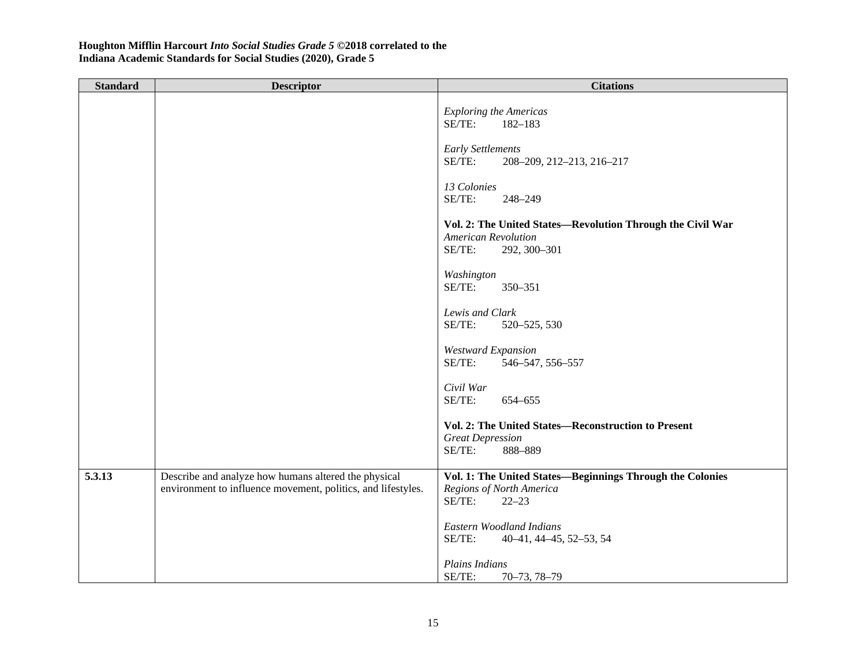| <b>Standard</b> | <b>Descriptor</b>                                                                                                    | <b>Citations</b>                                                                                                   |
|-----------------|----------------------------------------------------------------------------------------------------------------------|--------------------------------------------------------------------------------------------------------------------|
|                 |                                                                                                                      | <b>Exploring the Americas</b><br>SE/TE:<br>182-183                                                                 |
|                 |                                                                                                                      | <b>Early Settlements</b><br>SE/TE:<br>208-209, 212-213, 216-217                                                    |
|                 |                                                                                                                      | 13 Colonies<br>SE/TE:<br>248-249                                                                                   |
|                 |                                                                                                                      | Vol. 2: The United States-Revolution Through the Civil War<br><b>American Revolution</b><br>SE/TE:<br>292, 300-301 |
|                 |                                                                                                                      | Washington<br>SE/TE:<br>350-351                                                                                    |
|                 |                                                                                                                      | Lewis and Clark<br>SE/TE:<br>520-525, 530                                                                          |
|                 |                                                                                                                      | <b>Westward Expansion</b><br>SE/TE:<br>546-547, 556-557                                                            |
|                 |                                                                                                                      | Civil War<br>SE/TE:<br>654-655                                                                                     |
|                 |                                                                                                                      | Vol. 2: The United States-Reconstruction to Present<br><b>Great Depression</b><br>SE/TE:<br>888-889                |
| 5.3.13          | Describe and analyze how humans altered the physical<br>environment to influence movement, politics, and lifestyles. | Vol. 1: The United States-Beginnings Through the Colonies<br>Regions of North America<br>SE/TE:<br>$22 - 23$       |
|                 |                                                                                                                      | Eastern Woodland Indians<br>SE/TE:<br>40-41, 44-45, 52-53, 54                                                      |
|                 |                                                                                                                      | Plains Indians<br>SE/TE:<br>$70 - 73, 78 - 79$                                                                     |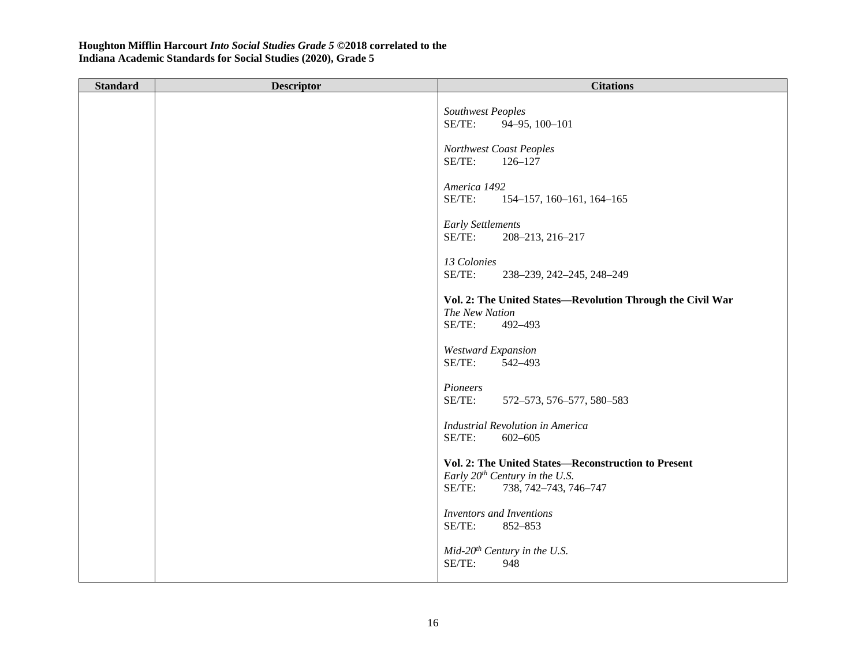| <b>Standard</b> | <b>Descriptor</b> | <b>Citations</b>                                                                                                              |
|-----------------|-------------------|-------------------------------------------------------------------------------------------------------------------------------|
|                 |                   | Southwest Peoples<br>SE/TE:<br>94-95, 100-101<br>Northwest Coast Peoples                                                      |
|                 |                   | SE/TE:<br>$126 - 127$                                                                                                         |
|                 |                   | America 1492<br>SE/TE:<br>154-157, 160-161, 164-165                                                                           |
|                 |                   | <b>Early Settlements</b><br>SE/TE:<br>208-213, 216-217                                                                        |
|                 |                   | 13 Colonies<br>SE/TE:<br>238-239, 242-245, 248-249                                                                            |
|                 |                   | Vol. 2: The United States-Revolution Through the Civil War<br>The New Nation<br>SE/TE:<br>492-493                             |
|                 |                   | <b>Westward Expansion</b><br>SE/TE:<br>542-493                                                                                |
|                 |                   | Pioneers<br>SE/TE:<br>572-573, 576-577, 580-583                                                                               |
|                 |                   | <b>Industrial Revolution in America</b><br>SE/TE:<br>$602 - 605$                                                              |
|                 |                   | Vol. 2: The United States-Reconstruction to Present<br>Early $20^{th}$ Century in the U.S.<br>SE/TE:<br>738, 742-743, 746-747 |
|                 |                   | <b>Inventors and Inventions</b><br>SE/TE:<br>852-853                                                                          |
|                 |                   | $Mid-20th Century in the U.S.$<br>SE/TE:<br>948                                                                               |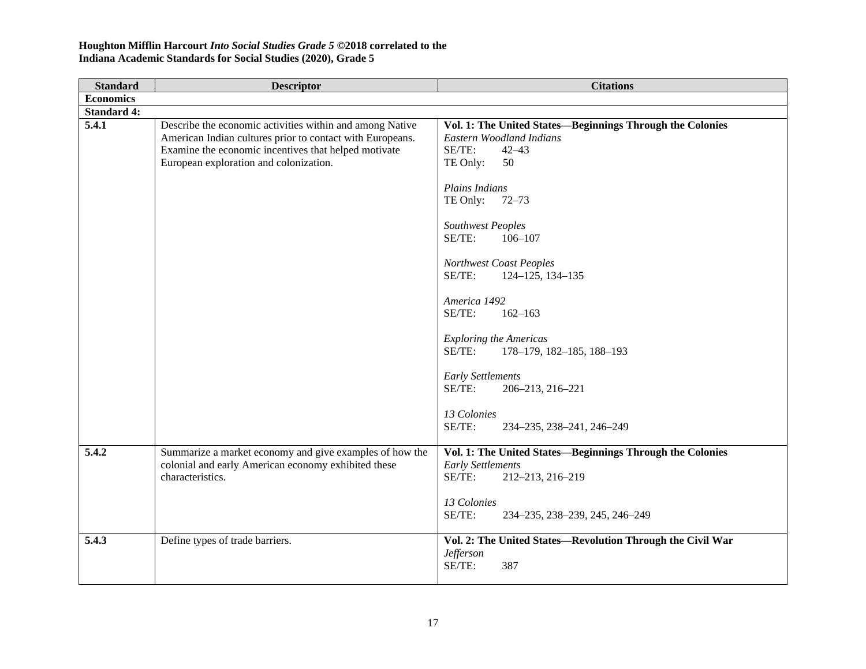| <b>Standard</b>    | <b>Descriptor</b>                                                                                                                                                                                                       | <b>Citations</b>                                                                                                                                                                                                                                                                                                                                                                                                                                                                                                         |
|--------------------|-------------------------------------------------------------------------------------------------------------------------------------------------------------------------------------------------------------------------|--------------------------------------------------------------------------------------------------------------------------------------------------------------------------------------------------------------------------------------------------------------------------------------------------------------------------------------------------------------------------------------------------------------------------------------------------------------------------------------------------------------------------|
| <b>Economics</b>   |                                                                                                                                                                                                                         |                                                                                                                                                                                                                                                                                                                                                                                                                                                                                                                          |
| <b>Standard 4:</b> |                                                                                                                                                                                                                         |                                                                                                                                                                                                                                                                                                                                                                                                                                                                                                                          |
| 5.4.1              | Describe the economic activities within and among Native<br>American Indian cultures prior to contact with Europeans.<br>Examine the economic incentives that helped motivate<br>European exploration and colonization. | Vol. 1: The United States-Beginnings Through the Colonies<br><b>Eastern Woodland Indians</b><br>SE/TE:<br>$42 - 43$<br>TE Only:<br>50<br>Plains Indians<br>TE Only:<br>$72 - 73$<br>Southwest Peoples<br>SE/TE:<br>$106 - 107$<br>Northwest Coast Peoples<br>SE/TE:<br>124-125, 134-135<br>America 1492<br>SE/TE:<br>$162 - 163$<br><b>Exploring the Americas</b><br>SE/TE:<br>178-179, 182-185, 188-193<br><b>Early Settlements</b><br>SE/TE:<br>206-213, 216-221<br>13 Colonies<br>SE/TE:<br>234-235, 238-241, 246-249 |
| 5.4.2              | Summarize a market economy and give examples of how the<br>colonial and early American economy exhibited these<br>characteristics.                                                                                      | Vol. 1: The United States-Beginnings Through the Colonies<br><b>Early Settlements</b><br>SE/TE:<br>212-213, 216-219<br>13 Colonies<br>SE/TE:<br>234-235, 238-239, 245, 246-249                                                                                                                                                                                                                                                                                                                                           |
| 5.4.3              | Define types of trade barriers.                                                                                                                                                                                         | Vol. 2: The United States-Revolution Through the Civil War<br><b>Jefferson</b><br>SE/TE:<br>387                                                                                                                                                                                                                                                                                                                                                                                                                          |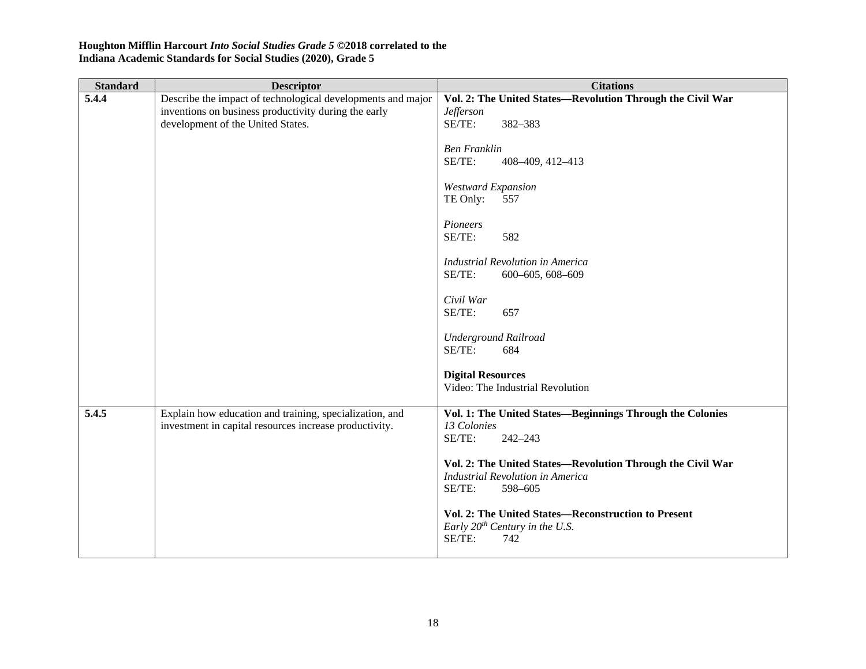| <b>Standard</b> | <b>Descriptor</b>                                                                                                 | <b>Citations</b>                                                                                                           |
|-----------------|-------------------------------------------------------------------------------------------------------------------|----------------------------------------------------------------------------------------------------------------------------|
| 5.4.4           | Describe the impact of technological developments and major                                                       | Vol. 2: The United States-Revolution Through the Civil War                                                                 |
|                 | inventions on business productivity during the early                                                              | <b>Jefferson</b>                                                                                                           |
|                 | development of the United States.                                                                                 | SE/TE:<br>382-383                                                                                                          |
|                 |                                                                                                                   | <b>Ben Franklin</b><br>SE/TE:<br>408-409, 412-413                                                                          |
|                 |                                                                                                                   | <b>Westward Expansion</b><br>TE Only:<br>557                                                                               |
|                 |                                                                                                                   | Pioneers<br>SE/TE:<br>582                                                                                                  |
|                 |                                                                                                                   | <b>Industrial Revolution in America</b><br>SE/TE:<br>600-605, 608-609                                                      |
|                 |                                                                                                                   | Civil War<br>SE/TE:<br>657                                                                                                 |
|                 |                                                                                                                   | <b>Underground Railroad</b><br>SE/TE:<br>684                                                                               |
|                 |                                                                                                                   | <b>Digital Resources</b><br>Video: The Industrial Revolution                                                               |
| 5.4.5           | Explain how education and training, specialization, and<br>investment in capital resources increase productivity. | Vol. 1: The United States-Beginnings Through the Colonies<br>13 Colonies<br>SE/TE:<br>$242 - 243$                          |
|                 |                                                                                                                   | Vol. 2: The United States-Revolution Through the Civil War<br><b>Industrial Revolution in America</b><br>SE/TE:<br>598-605 |
|                 |                                                                                                                   | Vol. 2: The United States-Reconstruction to Present<br>Early $20^{th}$ Century in the U.S.<br>SE/TE:<br>742                |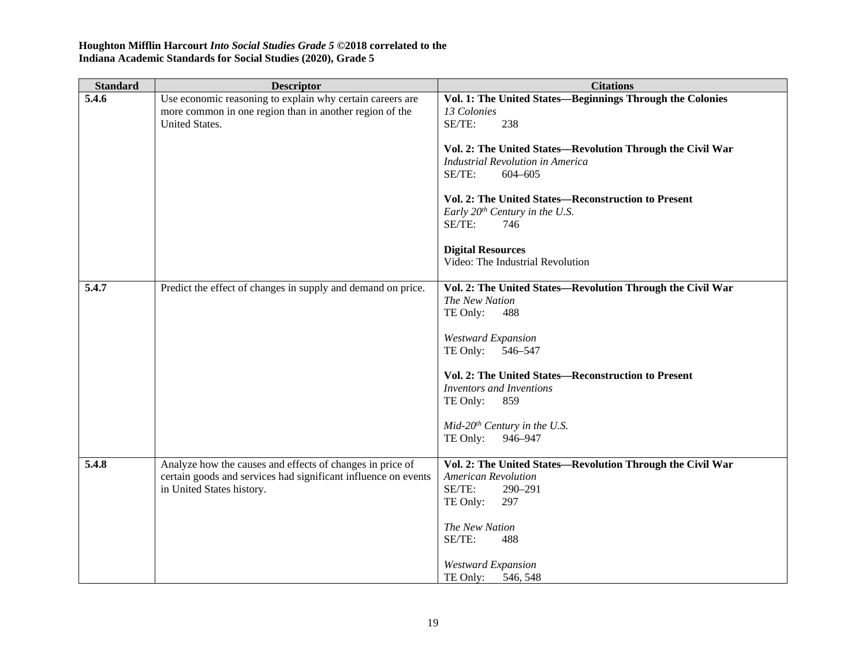| <b>Standard</b> | <b>Descriptor</b>                                              | <b>Citations</b>                                           |
|-----------------|----------------------------------------------------------------|------------------------------------------------------------|
| 5.4.6           | Use economic reasoning to explain why certain careers are      | Vol. 1: The United States-Beginnings Through the Colonies  |
|                 | more common in one region than in another region of the        | 13 Colonies                                                |
|                 | United States.                                                 | SE/TE:<br>238                                              |
|                 |                                                                |                                                            |
|                 |                                                                | Vol. 2: The United States-Revolution Through the Civil War |
|                 |                                                                | <b>Industrial Revolution in America</b>                    |
|                 |                                                                | SE/TE:<br>$604 - 605$                                      |
|                 |                                                                | Vol. 2: The United States-Reconstruction to Present        |
|                 |                                                                | Early $20^{th}$ Century in the U.S.                        |
|                 |                                                                | SE/TE:<br>746                                              |
|                 |                                                                |                                                            |
|                 |                                                                | <b>Digital Resources</b>                                   |
|                 |                                                                | Video: The Industrial Revolution                           |
|                 |                                                                |                                                            |
| 5.4.7           | Predict the effect of changes in supply and demand on price.   | Vol. 2: The United States-Revolution Through the Civil War |
|                 |                                                                | The New Nation                                             |
|                 |                                                                | TE Only:<br>488                                            |
|                 |                                                                |                                                            |
|                 |                                                                | <b>Westward Expansion</b>                                  |
|                 |                                                                | 546-547<br>TE Only:                                        |
|                 |                                                                | <b>Vol. 2: The United States—Reconstruction to Present</b> |
|                 |                                                                | <b>Inventors and Inventions</b>                            |
|                 |                                                                | TE Only:<br>859                                            |
|                 |                                                                |                                                            |
|                 |                                                                | $Mid-20th Century in the U.S.$                             |
|                 |                                                                | TE Only:<br>946-947                                        |
|                 |                                                                |                                                            |
| 5.4.8           | Analyze how the causes and effects of changes in price of      | Vol. 2: The United States-Revolution Through the Civil War |
|                 | certain goods and services had significant influence on events | <b>American Revolution</b>                                 |
|                 | in United States history.                                      | SE/TE:<br>290-291                                          |
|                 |                                                                | 297<br>TE Only:                                            |
|                 |                                                                |                                                            |
|                 |                                                                | The New Nation<br>SE/TE:<br>488                            |
|                 |                                                                |                                                            |
|                 |                                                                | <b>Westward Expansion</b>                                  |
|                 |                                                                | TE Only:<br>546, 548                                       |